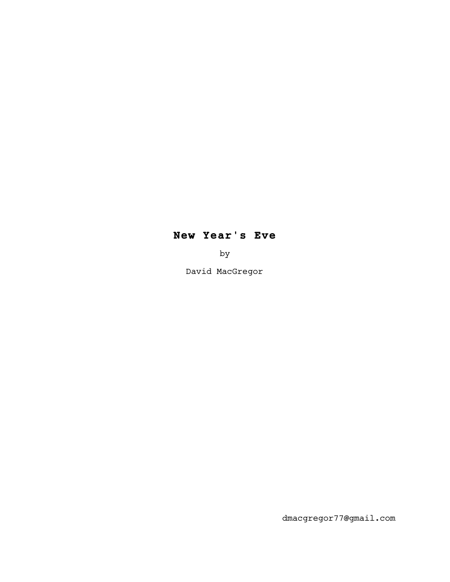# **New Year's Eve**

by

David MacGregor

dmacgregor77@gmail.com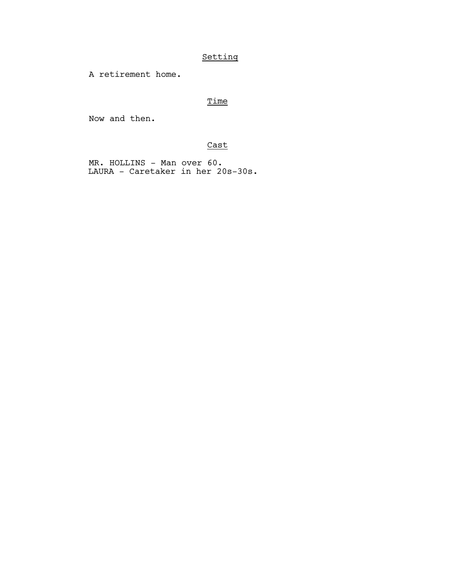# Setting

A retirement home.

# Time

Now and then.

# Cast

MR. HOLLINS - Man over 60. LAURA - Caretaker in her 20s-30s.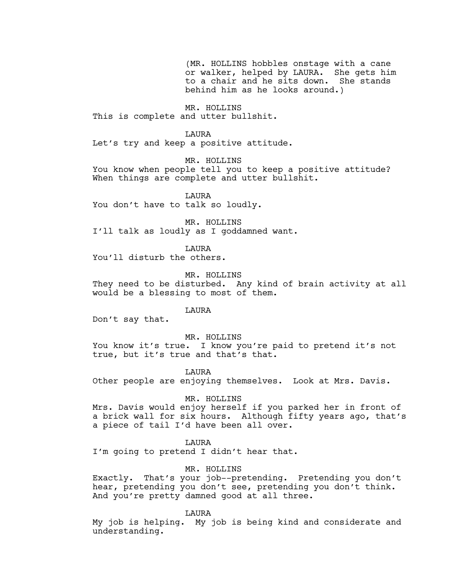(MR. HOLLINS hobbles onstage with a cane or walker, helped by LAURA. She gets him to a chair and he sits down. She stands behind him as he looks around.)

MR. HOLLINS This is complete and utter bullshit.

LAURA Let's try and keep a positive attitude.

MR. HOLLINS

You know when people tell you to keep a positive attitude? When things are complete and utter bullshit.

LAURA You don't have to talk so loudly.

MR. HOLLINS I'll talk as loudly as I goddamned want.

**T.AURA** 

You'll disturb the others.

MR. HOLLINS

They need to be disturbed. Any kind of brain activity at all would be a blessing to most of them.

LAURA

Don't say that.

MR. HOLLINS

You know it's true. I know you're paid to pretend it's not true, but it's true and that's that.

LAURA

Other people are enjoying themselves. Look at Mrs. Davis.

MR. HOLLINS

Mrs. Davis would enjoy herself if you parked her in front of a brick wall for six hours. Although fifty years ago, that's a piece of tail I'd have been all over.

LAURA

I'm going to pretend I didn't hear that.

MR. HOLLINS

Exactly. That's your job--pretending. Pretending you don't hear, pretending you don't see, pretending you don't think. And you're pretty damned good at all three.

LAURA

My job is helping. My job is being kind and considerate and understanding.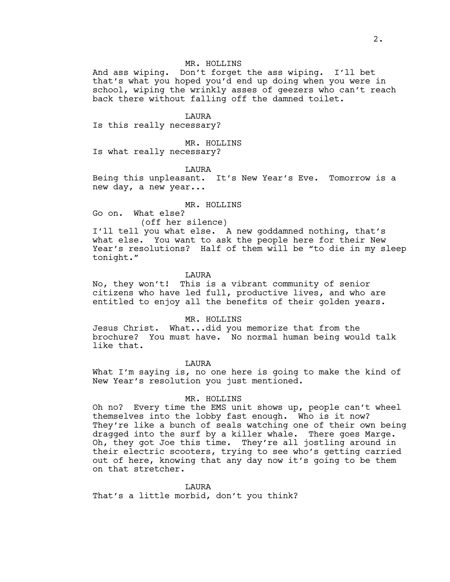#### MR. HOLLINS

And ass wiping. Don't forget the ass wiping. I'll bet that's what you hoped you'd end up doing when you were in school, wiping the wrinkly asses of geezers who can't reach back there without falling off the damned toilet.

# LAURA

Is this really necessary?

MR. HOLLINS Is what really necessary?

LAURA

Being this unpleasant. It's New Year's Eve. Tomorrow is a new day, a new year...

### MR. HOLLINS

Go on. What else? (off her silence)

I'll tell you what else. A new goddamned nothing, that's what else. You want to ask the people here for their New Year's resolutions? Half of them will be "to die in my sleep tonight."

#### LAURA

No, they won't! This is a vibrant community of senior citizens who have led full, productive lives, and who are entitled to enjoy all the benefits of their golden years.

MR. HOLLINS

Jesus Christ. What...did you memorize that from the brochure? You must have. No normal human being would talk like that.

#### **T.AURA**

What I'm saying is, no one here is going to make the kind of New Year's resolution you just mentioned.

### MR. HOLLINS

Oh no? Every time the EMS unit shows up, people can't wheel themselves into the lobby fast enough. Who is it now? They're like a bunch of seals watching one of their own being dragged into the surf by a killer whale. There goes Marge. Oh, they got Joe this time. They're all jostling around in their electric scooters, trying to see who's getting carried out of here, knowing that any day now it's going to be them on that stretcher.

LAURA That's a little morbid, don't you think?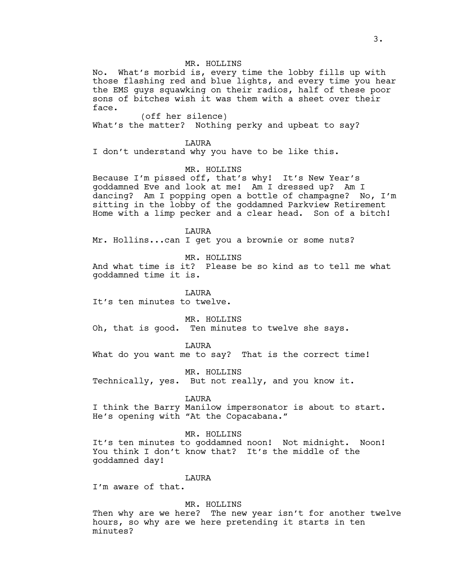#### MR. HOLLINS

No. What's morbid is, every time the lobby fills up with those flashing red and blue lights, and every time you hear the EMS guys squawking on their radios, half of these poor sons of bitches wish it was them with a sheet over their face.

(off her silence) What's the matter? Nothing perky and upbeat to say?

#### LAURA

I don't understand why you have to be like this.

# MR. HOLLINS

Because I'm pissed off, that's why! It's New Year's goddamned Eve and look at me! Am I dressed up? Am I dancing? Am I popping open a bottle of champagne? No, I'm sitting in the lobby of the goddamned Parkview Retirement Home with a limp pecker and a clear head. Son of a bitch!

LAURA

Mr. Hollins...can I get you a brownie or some nuts?

MR. HOLLINS

And what time is it? Please be so kind as to tell me what goddamned time it is.

**T.AURA** 

It's ten minutes to twelve.

#### MR. HOLLINS

Oh, that is good. Ten minutes to twelve she says.

#### **T.AURA**

What do you want me to say? That is the correct time!

MR. HOLLINS

Technically, yes. But not really, and you know it.

#### LAURA

I think the Barry Manilow impersonator is about to start. He's opening with "At the Copacabana."

#### MR. HOLLINS

It's ten minutes to goddamned noon! Not midnight. Noon! You think I don't know that? It's the middle of the goddamned day!

# LAURA

I'm aware of that.

# MR. HOLLINS

Then why are we here? The new year isn't for another twelve hours, so why are we here pretending it starts in ten minutes?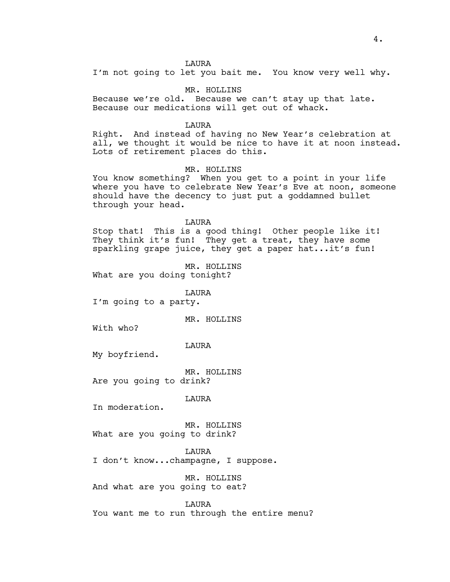I'm not going to let you bait me. You know very well why.

MR. HOLLINS

Because we're old. Because we can't stay up that late. Because our medications will get out of whack.

#### LAURA

Right. And instead of having no New Year's celebration at all, we thought it would be nice to have it at noon instead. Lots of retirement places do this.

### MR. HOLLINS

You know something? When you get to a point in your life where you have to celebrate New Year's Eve at noon, someone should have the decency to just put a goddamned bullet through your head.

LAURA Stop that! This is a good thing! Other people like it! They think it's fun! They get a treat, they have some sparkling grape juice, they get a paper hat...it's fun!

MR. HOLLINS What are you doing tonight?

**T.AURA** 

I'm going to a party.

MR. HOLLINS

With who?

LAURA

My boyfriend.

MR. HOLLINS Are you going to drink?

LAURA

In moderation.

MR. HOLLINS What are you going to drink?

LAURA I don't know...champagne, I suppose.

MR. HOLLINS And what are you going to eat?

LAURA You want me to run through the entire menu?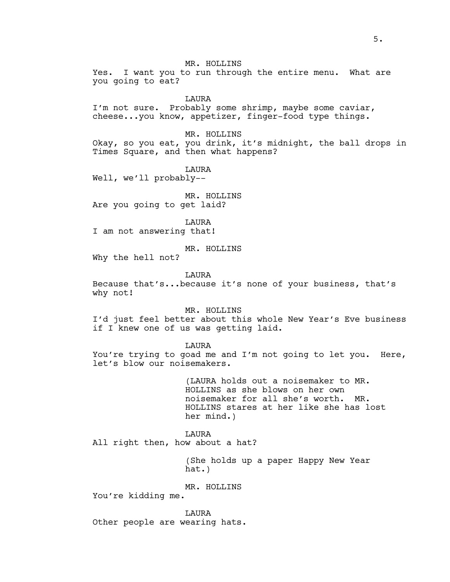MR. HOLLINS Yes. I want you to run through the entire menu. What are you going to eat?

**T.AURA** 

I'm not sure. Probably some shrimp, maybe some caviar, cheese...you know, appetizer, finger-food type things.

MR. HOLLINS

Okay, so you eat, you drink, it's midnight, the ball drops in Times Square, and then what happens?

LAURA

Well, we'll probably--

MR. HOLLINS Are you going to get laid?

LAURA I am not answering that!

MR. HOLLINS

Why the hell not?

LAURA

Because that's...because it's none of your business, that's why not!

MR. HOLLINS

I'd just feel better about this whole New Year's Eve business if I knew one of us was getting laid.

**TAURA** 

You're trying to goad me and I'm not going to let you. Here, let's blow our noisemakers.

> (LAURA holds out a noisemaker to MR. HOLLINS as she blows on her own noisemaker for all she's worth. MR. HOLLINS stares at her like she has lost her mind.)

LAURA All right then, how about a hat?

> (She holds up a paper Happy New Year hat.)

MR. HOLLINS

You're kidding me.

LAURA Other people are wearing hats.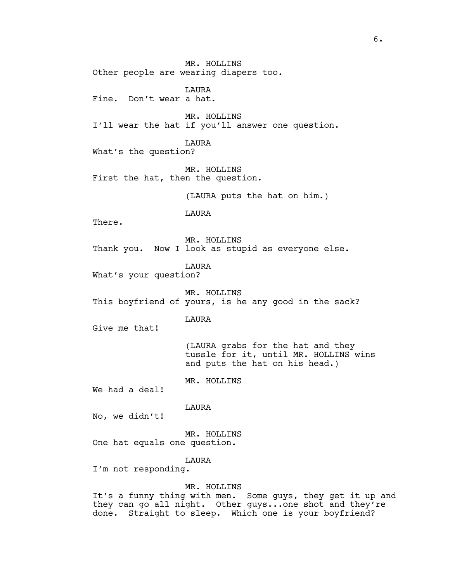Other people are wearing diapers too. LAURA Fine. Don't wear a hat. MR. HOLLINS I'll wear the hat if you'll answer one question. LAURA What's the question? MR. HOLLINS First the hat, then the question. (LAURA puts the hat on him.) LAURA There. MR. HOLLINS Thank you. Now I look as stupid as everyone else. **TAURA** What's your question? MR. HOLLINS This boyfriend of yours, is he any good in the sack? LAURA Give me that! (LAURA grabs for the hat and they tussle for it, until MR. HOLLINS wins and puts the hat on his head.) MR. HOLLINS We had a deal! LAURA No, we didn't! MR. HOLLINS One hat equals one question. LAURA I'm not responding. MR. HOLLINS It's a funny thing with men. Some guys, they get it up and they can go all night. Other guys...one shot and they're done. Straight to sleep. Which one is your boyfriend?

MR. HOLLINS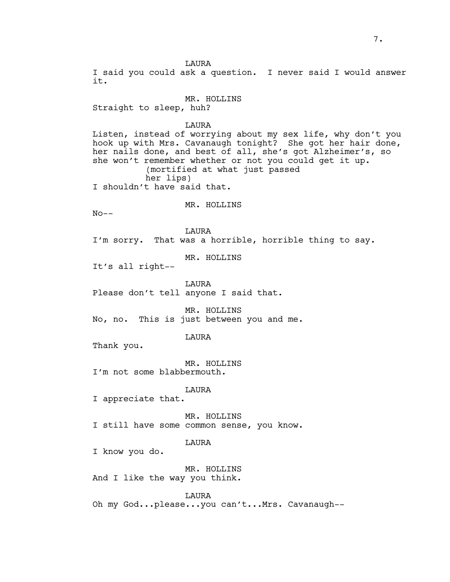it. MR. HOLLINS Straight to sleep, huh? LAURA Listen, instead of worrying about my sex life, why don't you hook up with Mrs. Cavanaugh tonight? She got her hair done, her nails done, and best of all, she's got Alzheimer's, so she won't remember whether or not you could get it up. (mortified at what just passed her lips) I shouldn't have said that. MR. HOLLINS  $No--$ LAURA I'm sorry. That was a horrible, horrible thing to say. MR. HOLLINS It's all right-- LAURA Please don't tell anyone I said that. MR. HOLLINS No, no. This is just between you and me. LAURA Thank you. MR. HOLLINS I'm not some blabbermouth. LAURA I appreciate that. MR. HOLLINS I still have some common sense, you know. LAURA I know you do. MR. HOLLINS And I like the way you think. LAURA Oh my God...please...you can't...Mrs. Cavanaugh--

LAURA

I said you could ask a question. I never said I would answer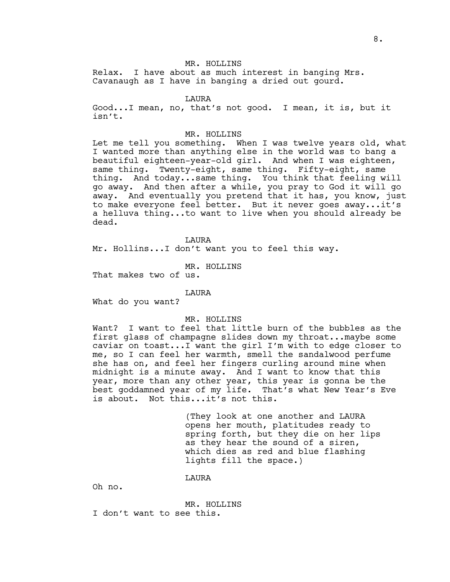#### MR. HOLLINS

Relax. I have about as much interest in banging Mrs. Cavanaugh as I have in banging a dried out gourd.

LAURA

Good...I mean, no, that's not good. I mean, it is, but it isn't.

#### MR. HOLLINS

Let me tell you something. When I was twelve years old, what I wanted more than anything else in the world was to bang a beautiful eighteen-year-old girl. And when I was eighteen, same thing. Twenty-eight, same thing. Fifty-eight, same thing. And today...same thing. You think that feeling will go away. And then after a while, you pray to God it will go away. And eventually you pretend that it has, you know, just to make everyone feel better. But it never goes away...it's a helluva thing...to want to live when you should already be dead.

LAURA

Mr. Hollins...I don't want you to feel this way.

MR. HOLLINS

That makes two of us.

#### LAURA

What do you want?

### MR. HOLLINS

Want? I want to feel that little burn of the bubbles as the first glass of champagne slides down my throat...maybe some caviar on toast...I want the girl I'm with to edge closer to me, so I can feel her warmth, smell the sandalwood perfume she has on, and feel her fingers curling around mine when midnight is a minute away. And I want to know that this year, more than any other year, this year is gonna be the best goddamned year of my life. That's what New Year's Eve is about. Not this...it's not this.

> (They look at one another and LAURA opens her mouth, platitudes ready to spring forth, but they die on her lips as they hear the sound of a siren, which dies as red and blue flashing lights fill the space.)

### LAURA

Oh no.

MR. HOLLINS I don't want to see this.